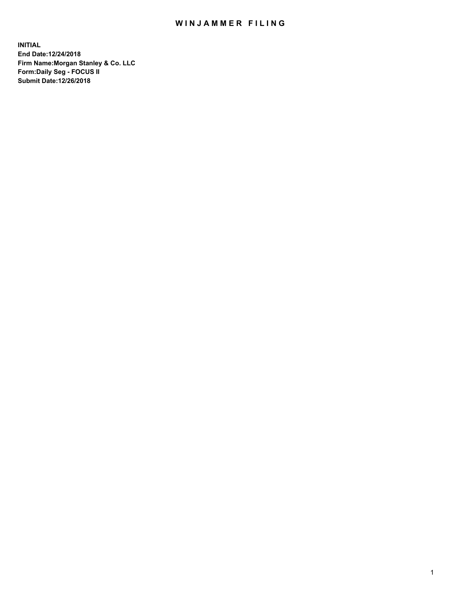## WIN JAMMER FILING

**INITIAL End Date:12/24/2018 Firm Name:Morgan Stanley & Co. LLC Form:Daily Seg - FOCUS II Submit Date:12/26/2018**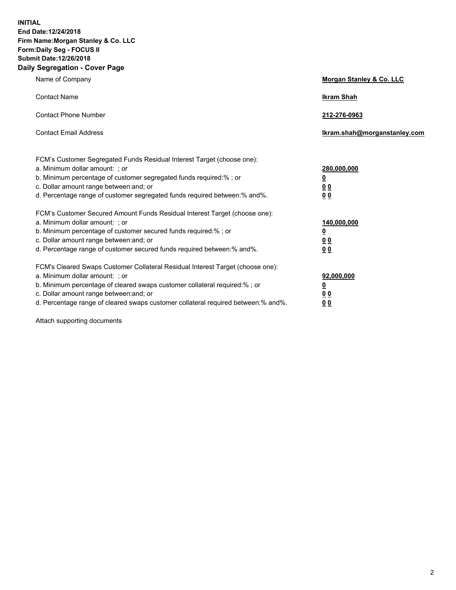**INITIAL End Date:12/24/2018 Firm Name:Morgan Stanley & Co. LLC Form:Daily Seg - FOCUS II Submit Date:12/26/2018 Daily Segregation - Cover Page**

| Name of Company                                                                                                                                                                                                                                                                                                                | Morgan Stanley & Co. LLC                               |
|--------------------------------------------------------------------------------------------------------------------------------------------------------------------------------------------------------------------------------------------------------------------------------------------------------------------------------|--------------------------------------------------------|
| <b>Contact Name</b>                                                                                                                                                                                                                                                                                                            | <b>Ikram Shah</b>                                      |
| <b>Contact Phone Number</b>                                                                                                                                                                                                                                                                                                    | 212-276-0963                                           |
| <b>Contact Email Address</b>                                                                                                                                                                                                                                                                                                   | lkram.shah@morganstanley.com                           |
| FCM's Customer Segregated Funds Residual Interest Target (choose one):<br>a. Minimum dollar amount: : or<br>b. Minimum percentage of customer segregated funds required:% ; or<br>c. Dollar amount range between: and; or<br>d. Percentage range of customer segregated funds required between:% and%.                         | 280,000,000<br><u>0</u><br>00<br>00                    |
| FCM's Customer Secured Amount Funds Residual Interest Target (choose one):<br>a. Minimum dollar amount: ; or<br>b. Minimum percentage of customer secured funds required:%; or<br>c. Dollar amount range between: and; or<br>d. Percentage range of customer secured funds required between:% and%.                            | 140,000,000<br><u>0</u><br><u>00</u><br>0 <sub>0</sub> |
| FCM's Cleared Swaps Customer Collateral Residual Interest Target (choose one):<br>a. Minimum dollar amount: ; or<br>b. Minimum percentage of cleared swaps customer collateral required:% ; or<br>c. Dollar amount range between: and; or<br>d. Percentage range of cleared swaps customer collateral required between:% and%. | 92,000,000<br><u>0</u><br><u>00</u><br>0 <sub>0</sub>  |

Attach supporting documents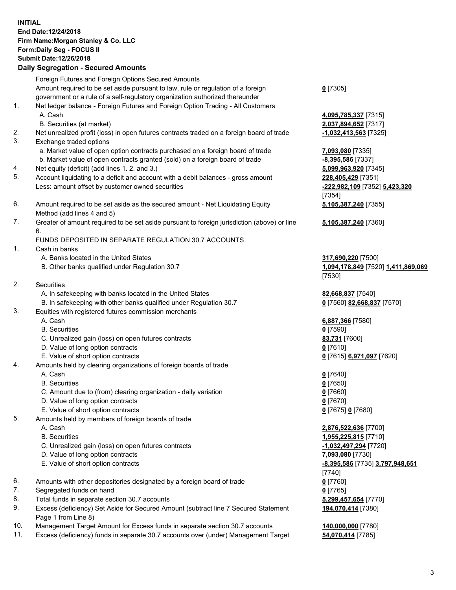### **INITIAL End Date:12/24/2018 Firm Name:Morgan Stanley & Co. LLC Form:Daily Seg - FOCUS II Submit Date:12/26/2018**

#### **Daily Segregation - Secured Amounts**

Foreign Futures and Foreign Options Secured Amounts Amount required to be set aside pursuant to law, rule or regulation of a foreign government or a rule of a self-regulatory organization authorized thereunder

- 1. Net ledger balance Foreign Futures and Foreign Option Trading All Customers A. Cash **4,095,785,337** [7315]
	- B. Securities (at market) **2,037,894,652** [7317]
- 2. Net unrealized profit (loss) in open futures contracts traded on a foreign board of trade **-1,032,413,563** [7325]
- 3. Exchange traded options
	- a. Market value of open option contracts purchased on a foreign board of trade **7,093,080** [7335]
	- b. Market value of open contracts granted (sold) on a foreign board of trade **-8,395,586** [7337]
- 4. Net equity (deficit) (add lines 1. 2. and 3.) **5,099,963,920** [7345]
- 5. Account liquidating to a deficit and account with a debit balances gross amount **228,405,429** [7351] Less: amount offset by customer owned securities **-222,982,109** [7352] **5,423,320**
- 6. Amount required to be set aside as the secured amount Net Liquidating Equity Method (add lines 4 and 5)
- 7. Greater of amount required to be set aside pursuant to foreign jurisdiction (above) or line 6.

## FUNDS DEPOSITED IN SEPARATE REGULATION 30.7 ACCOUNTS

- 1. Cash in banks
	- A. Banks located in the United States **317,690,220** [7500]
	- B. Other banks qualified under Regulation 30.7 **1,094,178,849** [7520] **1,411,869,069**
- 2. Securities
	- A. In safekeeping with banks located in the United States **82,668,837** [7540]
	- B. In safekeeping with other banks qualified under Regulation 30.7 **0** [7560] **82,668,837** [7570]
- 3. Equities with registered futures commission merchants
	-
	- B. Securities **0** [7590]
	- C. Unrealized gain (loss) on open futures contracts **83,731** [7600]
	- D. Value of long option contracts **0** [7610]
- E. Value of short option contracts **0** [7615] **6,971,097** [7620]
- 4. Amounts held by clearing organizations of foreign boards of trade
	- A. Cash **0** [7640]
	- B. Securities **0** [7650]
	- C. Amount due to (from) clearing organization daily variation **0** [7660]
	- D. Value of long option contracts **0** [7670]
	- E. Value of short option contracts **0** [7675] **0** [7680]
- 5. Amounts held by members of foreign boards of trade
	-
	-
	- C. Unrealized gain (loss) on open futures contracts **-1,032,497,294** [7720]
	- D. Value of long option contracts **7,093,080** [7730]
	- E. Value of short option contracts **-8,395,586** [7735] **3,797,948,651**
- 6. Amounts with other depositories designated by a foreign board of trade **0** [7760]
- 7. Segregated funds on hand **0** [7765]
- 8. Total funds in separate section 30.7 accounts **5,299,457,654** [7770]
- 9. Excess (deficiency) Set Aside for Secured Amount (subtract line 7 Secured Statement Page 1 from Line 8)
- 10. Management Target Amount for Excess funds in separate section 30.7 accounts **140,000,000** [7780]
- 11. Excess (deficiency) funds in separate 30.7 accounts over (under) Management Target **54,070,414** [7785]

**0** [7305]

[7354] **5,105,387,240** [7355]

**5,105,387,240** [7360]

# [7530]

A. Cash **6,887,366** [7580]

 A. Cash **2,876,522,636** [7700] B. Securities **1,955,225,815** [7710] [7740] **194,070,414** [7380]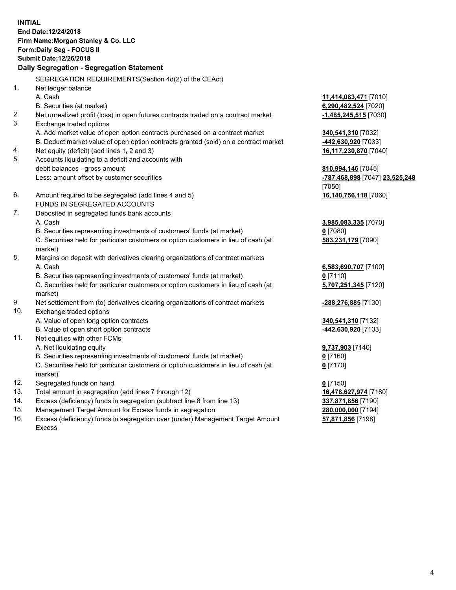**INITIAL End Date:12/24/2018 Firm Name:Morgan Stanley & Co. LLC Form:Daily Seg - FOCUS II Submit Date:12/26/2018 Daily Segregation - Segregation Statement** SEGREGATION REQUIREMENTS(Section 4d(2) of the CEAct) 1. Net ledger balance A. Cash **11,414,083,471** [7010] B. Securities (at market) **6,290,482,524** [7020] 2. Net unrealized profit (loss) in open futures contracts traded on a contract market **-1,485,245,515** [7030] 3. Exchange traded options A. Add market value of open option contracts purchased on a contract market **340,541,310** [7032] B. Deduct market value of open option contracts granted (sold) on a contract market **-442,630,920** [7033] 4. Net equity (deficit) (add lines 1, 2 and 3) **16,117,230,870** [7040] 5. Accounts liquidating to a deficit and accounts with debit balances - gross amount **810,994,146** [7045] Less: amount offset by customer securities **-787,468,898** [7047] **23,525,248** [7050] 6. Amount required to be segregated (add lines 4 and 5) **16,140,756,118** [7060] FUNDS IN SEGREGATED ACCOUNTS 7. Deposited in segregated funds bank accounts A. Cash **3,985,083,335** [7070] B. Securities representing investments of customers' funds (at market) **0** [7080] C. Securities held for particular customers or option customers in lieu of cash (at market) **583,231,179** [7090] 8. Margins on deposit with derivatives clearing organizations of contract markets A. Cash **6,583,690,707** [7100] B. Securities representing investments of customers' funds (at market) **0** [7110] C. Securities held for particular customers or option customers in lieu of cash (at market) **5,707,251,345** [7120] 9. Net settlement from (to) derivatives clearing organizations of contract markets **-288,276,885** [7130] 10. Exchange traded options A. Value of open long option contracts **340,541,310** [7132] B. Value of open short option contracts **-442,630,920** [7133] 11. Net equities with other FCMs A. Net liquidating equity **9,737,903** [7140] B. Securities representing investments of customers' funds (at market) **0** [7160] C. Securities held for particular customers or option customers in lieu of cash (at market) **0** [7170] 12. Segregated funds on hand **0** [7150] 13. Total amount in segregation (add lines 7 through 12) **16,478,627,974** [7180] 14. Excess (deficiency) funds in segregation (subtract line 6 from line 13) **337,871,856** [7190]

- 15. Management Target Amount for Excess funds in segregation **280,000,000** [7194]
- 16. Excess (deficiency) funds in segregation over (under) Management Target Amount Excess

**57,871,856** [7198]